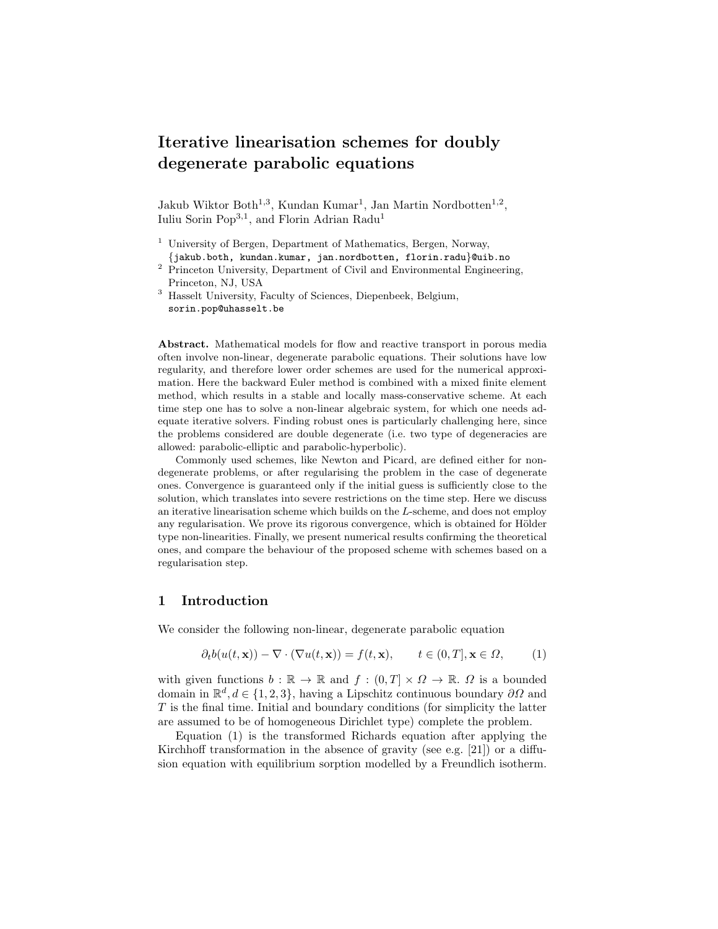# Iterative linearisation schemes for doubly degenerate parabolic equations

Jakub Wiktor Both<sup>1,3</sup>, Kundan Kumar<sup>1</sup>, Jan Martin Nordbotten<sup>1,2</sup>, Iuliu Sorin Pop<sup>3,1</sup>, and Florin Adrian Radu<sup>1</sup>

- <sup>1</sup> University of Bergen, Department of Mathematics, Bergen, Norway, {jakub.both, kundan.kumar, jan.nordbotten, florin.radu}@uib.no
- <sup>2</sup> Princeton University, Department of Civil and Environmental Engineering, Princeton, NJ, USA
- <sup>3</sup> Hasselt University, Faculty of Sciences, Diepenbeek, Belgium, sorin.pop@uhasselt.be

Abstract. Mathematical models for flow and reactive transport in porous media often involve non-linear, degenerate parabolic equations. Their solutions have low regularity, and therefore lower order schemes are used for the numerical approximation. Here the backward Euler method is combined with a mixed finite element method, which results in a stable and locally mass-conservative scheme. At each time step one has to solve a non-linear algebraic system, for which one needs adequate iterative solvers. Finding robust ones is particularly challenging here, since the problems considered are double degenerate (i.e. two type of degeneracies are allowed: parabolic-elliptic and parabolic-hyperbolic).

Commonly used schemes, like Newton and Picard, are defined either for nondegenerate problems, or after regularising the problem in the case of degenerate ones. Convergence is guaranteed only if the initial guess is sufficiently close to the solution, which translates into severe restrictions on the time step. Here we discuss an iterative linearisation scheme which builds on the L-scheme, and does not employ any regularisation. We prove its rigorous convergence, which is obtained for Hölder type non-linearities. Finally, we present numerical results confirming the theoretical ones, and compare the behaviour of the proposed scheme with schemes based on a regularisation step.

## 1 Introduction

We consider the following non-linear, degenerate parabolic equation

$$
\partial_t b(u(t, \mathbf{x})) - \nabla \cdot (\nabla u(t, \mathbf{x})) = f(t, \mathbf{x}), \qquad t \in (0, T], \mathbf{x} \in \Omega,
$$
 (1)

with given functions  $b : \mathbb{R} \to \mathbb{R}$  and  $f : (0, T] \times \Omega \to \mathbb{R}$ .  $\Omega$  is a bounded domain in  $\mathbb{R}^d, d \in \{1, 2, 3\}$ , having a Lipschitz continuous boundary  $\partial\Omega$  and  $T$  is the final time. Initial and boundary conditions (for simplicity the latter are assumed to be of homogeneous Dirichlet type) complete the problem.

Equation (1) is the transformed Richards equation after applying the Kirchhoff transformation in the absence of gravity (see e.g. [21]) or a diffusion equation with equilibrium sorption modelled by a Freundlich isotherm.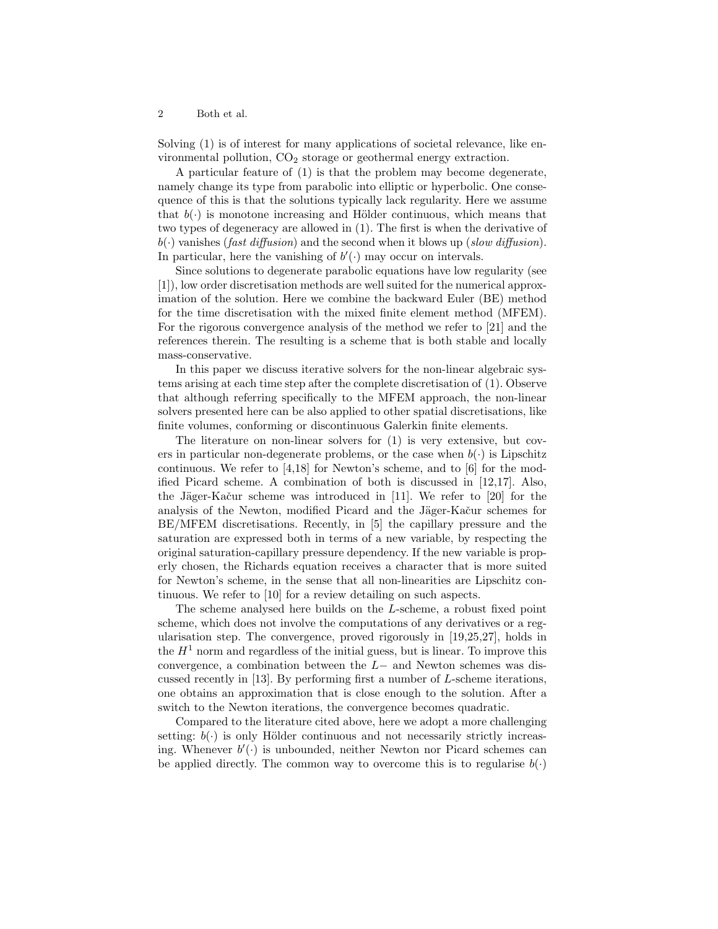Solving (1) is of interest for many applications of societal relevance, like environmental pollution,  $CO<sub>2</sub>$  storage or geothermal energy extraction.

A particular feature of (1) is that the problem may become degenerate, namely change its type from parabolic into elliptic or hyperbolic. One consequence of this is that the solutions typically lack regularity. Here we assume that  $b(\cdot)$  is monotone increasing and Hölder continuous, which means that two types of degeneracy are allowed in (1). The first is when the derivative of  $b(\cdot)$  vanishes (fast diffusion) and the second when it blows up (slow diffusion). In particular, here the vanishing of  $b'(\cdot)$  may occur on intervals.

Since solutions to degenerate parabolic equations have low regularity (see [1]), low order discretisation methods are well suited for the numerical approximation of the solution. Here we combine the backward Euler (BE) method for the time discretisation with the mixed finite element method (MFEM). For the rigorous convergence analysis of the method we refer to [21] and the references therein. The resulting is a scheme that is both stable and locally mass-conservative.

In this paper we discuss iterative solvers for the non-linear algebraic systems arising at each time step after the complete discretisation of (1). Observe that although referring specifically to the MFEM approach, the non-linear solvers presented here can be also applied to other spatial discretisations, like finite volumes, conforming or discontinuous Galerkin finite elements.

The literature on non-linear solvers for (1) is very extensive, but covers in particular non-degenerate problems, or the case when  $b(\cdot)$  is Lipschitz continuous. We refer to  $[4,18]$  for Newton's scheme, and to  $[6]$  for the modified Picard scheme. A combination of both is discussed in [12,17]. Also, the Jäger-Kačur scheme was introduced in  $[11]$ . We refer to  $[20]$  for the analysis of the Newton, modified Picard and the Jäger-Kačur schemes for BE/MFEM discretisations. Recently, in [5] the capillary pressure and the saturation are expressed both in terms of a new variable, by respecting the original saturation-capillary pressure dependency. If the new variable is properly chosen, the Richards equation receives a character that is more suited for Newton's scheme, in the sense that all non-linearities are Lipschitz continuous. We refer to [10] for a review detailing on such aspects.

The scheme analysed here builds on the L-scheme, a robust fixed point scheme, which does not involve the computations of any derivatives or a regularisation step. The convergence, proved rigorously in [19,25,27], holds in the  $H<sup>1</sup>$  norm and regardless of the initial guess, but is linear. To improve this convergence, a combination between the L− and Newton schemes was discussed recently in [13]. By performing first a number of L-scheme iterations, one obtains an approximation that is close enough to the solution. After a switch to the Newton iterations, the convergence becomes quadratic.

Compared to the literature cited above, here we adopt a more challenging setting:  $b(\cdot)$  is only Hölder continuous and not necessarily strictly increasing. Whenever  $b'(\cdot)$  is unbounded, neither Newton nor Picard schemes can be applied directly. The common way to overcome this is to regularise  $b(\cdot)$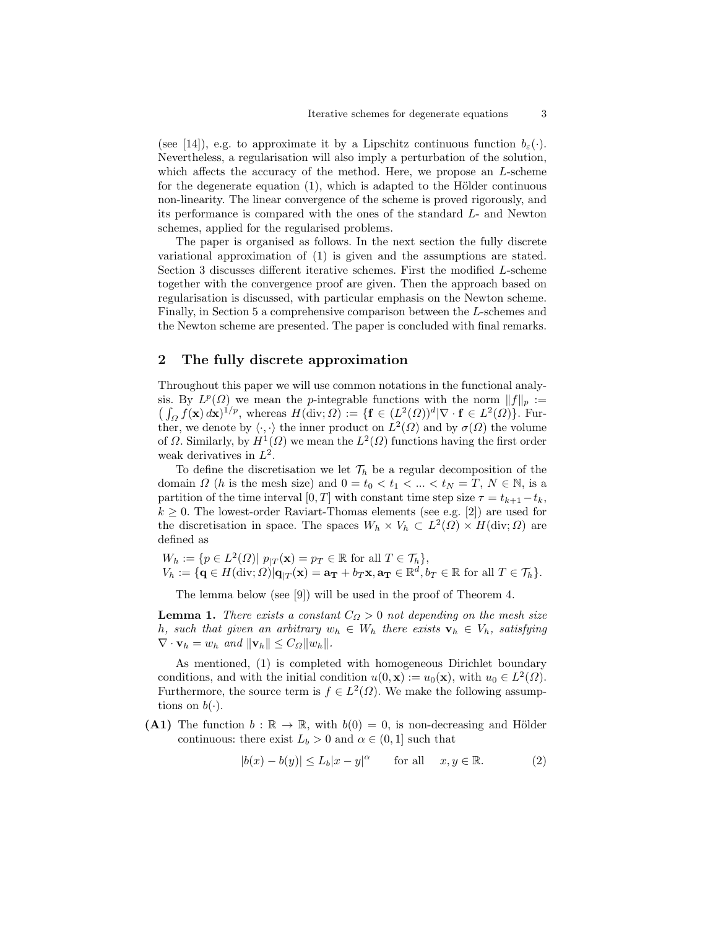(see [14]), e.g. to approximate it by a Lipschitz continuous function  $b_{\varepsilon}(\cdot)$ . Nevertheless, a regularisation will also imply a perturbation of the solution, which affects the accuracy of the method. Here, we propose an L-scheme for the degenerate equation  $(1)$ , which is adapted to the Hölder continuous non-linearity. The linear convergence of the scheme is proved rigorously, and its performance is compared with the ones of the standard L- and Newton schemes, applied for the regularised problems.

The paper is organised as follows. In the next section the fully discrete variational approximation of (1) is given and the assumptions are stated. Section 3 discusses different iterative schemes. First the modified L-scheme together with the convergence proof are given. Then the approach based on regularisation is discussed, with particular emphasis on the Newton scheme. Finally, in Section 5 a comprehensive comparison between the L-schemes and the Newton scheme are presented. The paper is concluded with final remarks.

### 2 The fully discrete approximation

Throughout this paper we will use common notations in the functional analysis. By  $L^p(\Omega)$  we mean the p-integrable functions with the norm  $||f||_p :=$  $\big(\int_{\Omega} f(\mathbf{x}) d\mathbf{x}\big)^{1/p}$ , whereas  $H(\text{div}; \Omega) := \{ \mathbf{f} \in (L^2(\Omega))^d | \nabla \cdot \mathbf{f} \in L^2(\Omega) \}.$  Fur-( $J_{\Omega}$ ) ( $\lambda$ )  $\alpha$ ), whereas  $H(\text{div}, \beta) := \{1 \in (E^{(32)}) \mid \text{v} \cdot 1 \in E^{(32)}\}$ . Further, we denote by  $\langle \cdot, \cdot \rangle$  the inner product on  $L^2(\Omega)$  and by  $\sigma(\Omega)$  the volume of  $\Omega$ . Similarly, by  $H^1(\Omega)$  we mean the  $L^2(\Omega)$  functions having the first order weak derivatives in  $L^2$ .

To define the discretisation we let  $\mathcal{T}_h$  be a regular decomposition of the domain  $\Omega$  (h is the mesh size) and  $0 = t_0 < t_1 < ... < t_N = T$ ,  $N \in \mathbb{N}$ , is a partition of the time interval [0, T] with constant time step size  $\tau = t_{k+1}-t_k$ ,  $k \geq 0$ . The lowest-order Raviart-Thomas elements (see e.g. [2]) are used for the discretisation in space. The spaces  $W_h \times V_h \subset L^2(\Omega) \times H(\text{div}; \Omega)$  are defined as

 $W_h := \{ p \in L^2(\Omega) | p_{|T}(\mathbf{x}) = p_T \in \mathbb{R} \text{ for all } T \in \mathcal{T}_h \},\$  $V_h := \{ \mathbf{q} \in H(\text{div};\Omega) | \mathbf{q}_{|T}(\mathbf{x}) = \mathbf{a_T} + b_T \mathbf{x}, \mathbf{a_T} \in \mathbb{R}^d, b_T \in \mathbb{R} \text{ for all } T \in \mathcal{T}_h \}.$ 

The lemma below (see [9]) will be used in the proof of Theorem 4.

**Lemma 1.** There exists a constant  $C_{\Omega} > 0$  not depending on the mesh size h, such that given an arbitrary  $w_h \in W_h$  there exists  $\mathbf{v}_h \in V_h$ , satisfying  $\nabla \cdot \mathbf{v}_h = w_h$  and  $\|\mathbf{v}_h\| \leq C_\Omega \|w_h\|.$ 

As mentioned, (1) is completed with homogeneous Dirichlet boundary conditions, and with the initial condition  $u(0, \mathbf{x}) := u_0(\mathbf{x})$ , with  $u_0 \in L^2(\Omega)$ . Furthermore, the source term is  $f \in L^2(\Omega)$ . We make the following assumptions on  $b(\cdot)$ .

(A1) The function  $b : \mathbb{R} \to \mathbb{R}$ , with  $b(0) = 0$ , is non-decreasing and Hölder continuous: there exist  $L_b > 0$  and  $\alpha \in (0, 1]$  such that

$$
|b(x) - b(y)| \le L_b |x - y|^{\alpha} \quad \text{for all} \quad x, y \in \mathbb{R}.
$$
 (2)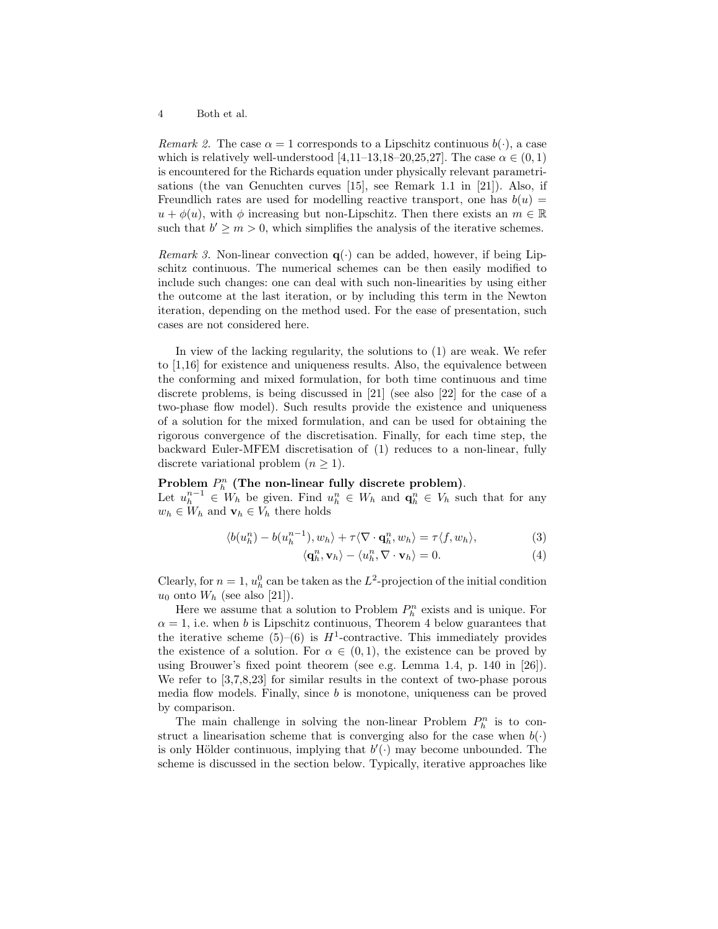Remark 2. The case  $\alpha = 1$  corresponds to a Lipschitz continuous  $b(\cdot)$ , a case which is relatively well-understood [4,11–13,18–20,25,27]. The case  $\alpha \in (0,1)$ is encountered for the Richards equation under physically relevant parametrisations (the van Genuchten curves [15], see Remark 1.1 in [21]). Also, if Freundlich rates are used for modelling reactive transport, one has  $b(u)$  =  $u + \phi(u)$ , with  $\phi$  increasing but non-Lipschitz. Then there exists an  $m \in \mathbb{R}$ such that  $b' \geq m > 0$ , which simplifies the analysis of the iterative schemes.

*Remark 3.* Non-linear convection  $q(\cdot)$  can be added, however, if being Lipschitz continuous. The numerical schemes can be then easily modified to include such changes: one can deal with such non-linearities by using either the outcome at the last iteration, or by including this term in the Newton iteration, depending on the method used. For the ease of presentation, such cases are not considered here.

In view of the lacking regularity, the solutions to (1) are weak. We refer to [1,16] for existence and uniqueness results. Also, the equivalence between the conforming and mixed formulation, for both time continuous and time discrete problems, is being discussed in [21] (see also [22] for the case of a two-phase flow model). Such results provide the existence and uniqueness of a solution for the mixed formulation, and can be used for obtaining the rigorous convergence of the discretisation. Finally, for each time step, the backward Euler-MFEM discretisation of (1) reduces to a non-linear, fully discrete variational problem  $(n \geq 1)$ .

## Problem  $P_h^n$  (The non-linear fully discrete problem).

Let  $u_h^{n-1} \in W_h$  be given. Find  $u_h^n \in W_h$  and  $\mathbf{q}_h^n \in V_h$  such that for any  $w_h \in W_h$  and  $\mathbf{v}_h \in V_h$  there holds

$$
\langle b(u_h^n) - b(u_h^{n-1}), w_h \rangle + \tau \langle \nabla \cdot \mathbf{q}_h^n, w_h \rangle = \tau \langle f, w_h \rangle, \tag{3}
$$

$$
\langle \mathbf{q}_h^n, \mathbf{v}_h \rangle - \langle u_h^n, \nabla \cdot \mathbf{v}_h \rangle = 0. \tag{4}
$$

Clearly, for  $n = 1$ ,  $u_h^0$  can be taken as the  $L^2$ -projection of the initial condition  $u_0$  onto  $W_h$  (see also [21]).

Here we assume that a solution to Problem  $P_h^n$  exists and is unique. For  $\alpha = 1$ , i.e. when b is Lipschitz continuous, Theorem 4 below guarantees that the iterative scheme  $(5)-(6)$  is  $H^1$ -contractive. This immediately provides the existence of a solution. For  $\alpha \in (0,1)$ , the existence can be proved by using Brouwer's fixed point theorem (see e.g. Lemma 1.4, p. 140 in [26]). We refer to [3,7,8,23] for similar results in the context of two-phase porous media flow models. Finally, since  $b$  is monotone, uniqueness can be proved by comparison.

The main challenge in solving the non-linear Problem  $P_h^n$  is to construct a linearisation scheme that is converging also for the case when  $b(\cdot)$ is only Hölder continuous, implying that  $b'(\cdot)$  may become unbounded. The scheme is discussed in the section below. Typically, iterative approaches like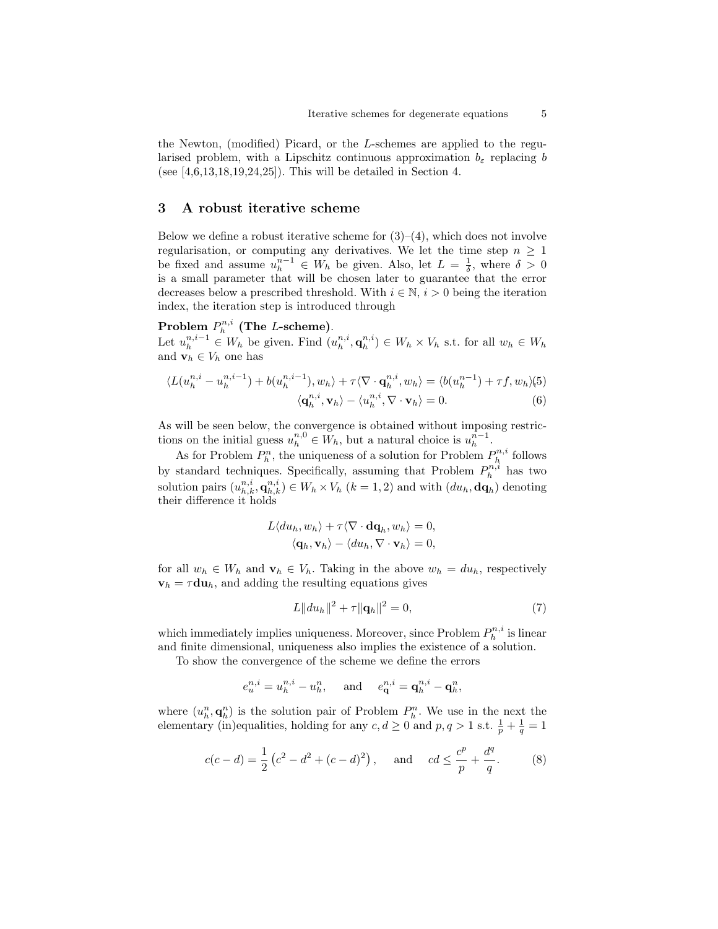the Newton, (modified) Picard, or the L-schemes are applied to the regularised problem, with a Lipschitz continuous approximation  $b_{\varepsilon}$  replacing b (see [4,6,13,18,19,24,25]). This will be detailed in Section 4.

#### 3 A robust iterative scheme

Below we define a robust iterative scheme for  $(3)-(4)$ , which does not involve regularisation, or computing any derivatives. We let the time step  $n \geq 1$ be fixed and assume  $u_h^{n-1} \in W_h$  be given. Also, let  $L = \frac{1}{\delta}$ , where  $\delta > 0$ is a small parameter that will be chosen later to guarantee that the error decreases below a prescribed threshold. With  $i \in \mathbb{N}$ ,  $i > 0$  being the iteration index, the iteration step is introduced through

## Problem  $P_h^{n,i}$  (The L-scheme).

Let  $u_h^{n,i-1} \in W_h$  be given. Find  $(u_h^{n,i}, \mathbf{q}_h^{n,i}) \in W_h \times V_h$  s.t. for all  $w_h \in W_h$ and  $\mathbf{v}_h \in V_h$  one has

$$
\langle L(u_h^{n,i} - u_h^{n,i-1}) + b(u_h^{n,i-1}), w_h \rangle + \tau \langle \nabla \cdot \mathbf{q}_h^{n,i}, w_h \rangle = \langle b(u_h^{n-1}) + \tau f, w_h \rangle \langle 5 \rangle
$$
  

$$
\langle \mathbf{q}_h^{n,i}, \mathbf{v}_h \rangle - \langle u_h^{n,i}, \nabla \cdot \mathbf{v}_h \rangle = 0.
$$
 (6)

As will be seen below, the convergence is obtained without imposing restrictions on the initial guess  $u_h^{n,0} \in W_h$ , but a natural choice is  $u_h^{n-1}$ .

As for Problem  $P_h^n$ , the uniqueness of a solution for Problem  $P_h^{n,i}$  follows by standard techniques. Specifically, assuming that Problem  $P_h^{n,i}$  has two solution pairs  $(u_{h,k}^{n,i}, \mathbf{q}_{h,k}^{n,i}) \in W_h \times V_h$   $(k = 1, 2)$  and with  $(du_h, \mathbf{dq}_h)$  denoting their difference it holds

$$
L\langle du_h, w_h \rangle + \tau \langle \nabla \cdot \mathbf{dq}_h, w_h \rangle = 0,
$$
  

$$
\langle \mathbf{q}_h, \mathbf{v}_h \rangle - \langle du_h, \nabla \cdot \mathbf{v}_h \rangle = 0,
$$

for all  $w_h \in W_h$  and  $\mathbf{v}_h \in V_h$ . Taking in the above  $w_h = du_h$ , respectively  $\mathbf{v}_h = \tau \mathbf{du}_h$ , and adding the resulting equations gives

$$
L||du_h||^2 + \tau ||\mathbf{q}_h||^2 = 0,
$$
\n(7)

which immediately implies uniqueness. Moreover, since Problem  $P_h^{n,i}$  is linear and finite dimensional, uniqueness also implies the existence of a solution.

To show the convergence of the scheme we define the errors

$$
e_u^{n,i} = u_h^{n,i} - u_h^n, \quad \text{and} \quad e_\mathbf{q}^{n,i} = \mathbf{q}_h^{n,i} - \mathbf{q}_h^n,
$$

where  $(u_h^n, \mathbf{q}_h^n)$  is the solution pair of Problem  $P_h^n$ . We use in the next the elementary (in)equalities, holding for any  $c, d \geq 0$  and  $p, q > 1$  s.t.  $\frac{1}{p} + \frac{1}{q} = 1$ 

$$
c(c-d) = \frac{1}{2} (c^2 - d^2 + (c-d)^2)
$$
, and  $cd \leq \frac{c^p}{p} + \frac{d^q}{q}$ . (8)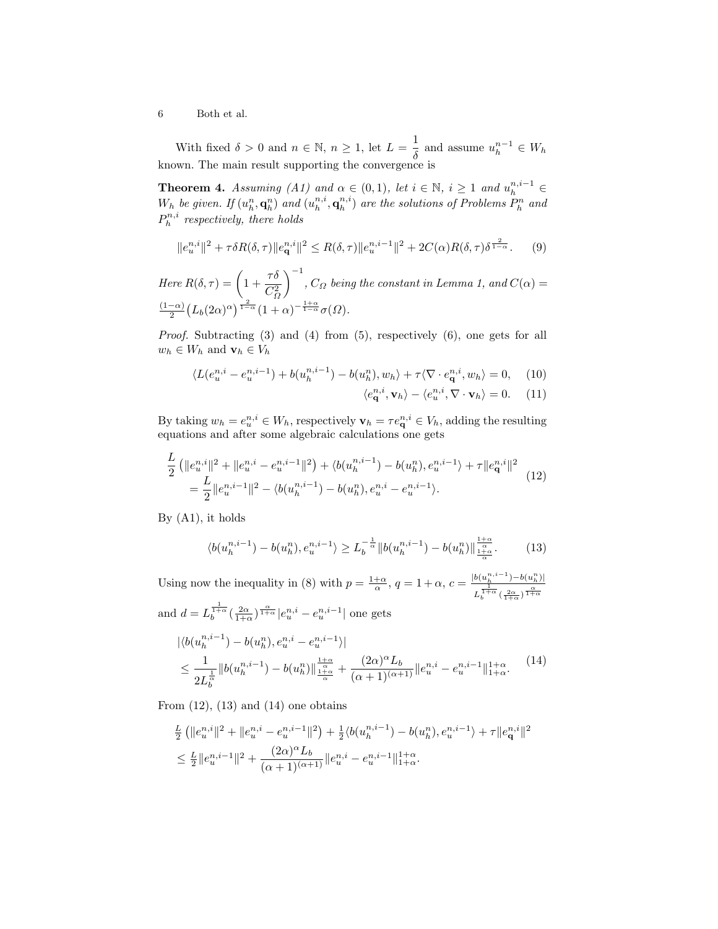With fixed  $\delta > 0$  and  $n \in \mathbb{N}$ ,  $n \geq 1$ , let  $L = \frac{1}{s}$  $\frac{1}{\delta}$  and assume  $u_h^{n-1} \in W_h$ known. The main result supporting the convergence is

**Theorem 4.** Assuming (A1) and  $\alpha \in (0,1)$ , let  $i \in \mathbb{N}$ ,  $i \ge 1$  and  $u_h^{n,i-1} \in$  $W_h$  be given. If  $(u_h^n, \mathbf{q}_h^n)$  and  $(u_h^{n,i}, \mathbf{q}_h^{n,i})$  are the solutions of Problems  $P_h^n$  and  $P_h^{n,i}$  respectively, there holds

$$
||e_{u}^{n,i}||^{2} + \tau \delta R(\delta, \tau)||e_{\mathbf{q}}^{n,i}||^{2} \leq R(\delta, \tau)||e_{u}^{n,i-1}||^{2} + 2C(\alpha)R(\delta, \tau)\delta^{\frac{2}{1-\alpha}}.\tag{9}
$$

Here  $R(\delta, \tau) = \left(1 + \frac{\tau \delta}{\sigma^2}\right)$  $C^2_\Omega$  $\bigcap ^{-1}$ ,  $C_{\Omega}$  being the constant in Lemma 1, and  $C(\alpha) =$  $(1-\alpha)$  $\frac{(-\alpha)}{2} (L_b(2\alpha)^{\alpha})^{\frac{2}{1-\alpha}} (1+\alpha)^{-\frac{1+\alpha}{1-\alpha}} \sigma(\Omega).$ 

Proof. Subtracting (3) and (4) from (5), respectively (6), one gets for all  $w_h \in W_h$  and  $\mathbf{v}_h \in V_h$ 

$$
\langle L(e_{u}^{n,i} - e_{u}^{n,i-1}) + b(u_{h}^{n,i-1}) - b(u_{h}^{n}), w_{h} \rangle + \tau \langle \nabla \cdot e_{\mathbf{q}}^{n,i}, w_{h} \rangle = 0, \quad (10)
$$

$$
\langle e_{\mathbf{q}}^{n,i}, \mathbf{v}_h \rangle - \langle e_u^{n,i}, \nabla \cdot \mathbf{v}_h \rangle = 0. \quad (11)
$$

By taking  $w_h = e_u^{n,i} \in W_h$ , respectively  $\mathbf{v}_h = \tau e_{\mathbf{q}}^{n,i} \in V_h$ , adding the resulting equations and after some algebraic calculations one gets

$$
\frac{L}{2} \left( \|e_u^{n,i}\|^2 + \|e_u^{n,i} - e_u^{n,i-1}\|^2 \right) + \langle b(u_h^{n,i-1}) - b(u_h^n), e_u^{n,i-1} \rangle + \tau \|e_\mathbf{q}^{n,i}\|^2
$$
\n
$$
= \frac{L}{2} \|e_u^{n,i-1}\|^2 - \langle b(u_h^{n,i-1}) - b(u_h^n), e_u^{n,i} - e_u^{n,i-1} \rangle. \tag{12}
$$

By (A1), it holds

$$
\langle b(u_h^{n,i-1}) - b(u_h^n), e_u^{n,i-1} \rangle \ge L_b^{-\frac{1}{\alpha}} \|b(u_h^{n,i-1}) - b(u_h^n)\|_{\frac{1+\alpha}{\alpha}}^{\frac{1+\alpha}{\alpha}}.
$$
 (13)

Using now the inequality in (8) with  $p = \frac{1+\alpha}{\alpha}$ ,  $q = 1+\alpha$ ,  $c = \frac{|b(u_n^{n,i-1})-b(u_n^n)|}{\frac{1}{1+\alpha} \left(\frac{\alpha}{\alpha}\right) \left(\frac{\alpha}{\alpha}\right)}$  $L_b^{\frac{1}{1+\alpha}}(\frac{2\alpha}{1+\alpha})^{\frac{\alpha}{1+\alpha}}$ and  $d = L_{{b}}^{\frac{1}{1+\alpha}}(\frac{2\alpha}{1+\alpha})^{\frac{\alpha}{1+\alpha}}|e_{u}^{n,i}-e_{u}^{n,i-1}|$  one gets

$$
|\langle b(u_h^{n,i-1}) - b(u_h^n), e_u^{n,i} - e_u^{n,i-1}\rangle|
$$
  
\n
$$
\leq \frac{1}{2L_b^{\frac{1}{\alpha}}} \|b(u_h^{n,i-1}) - b(u_h^n)\|_{\frac{1+\alpha}{\alpha}}^{\frac{1+\alpha}{\alpha}} + \frac{(2\alpha)^{\alpha}L_b}{(\alpha+1)^{(\alpha+1)}} \|e_u^{n,i} - e_u^{n,i-1}\|_{1+\alpha}^{1+\alpha}.
$$
 (14)

From  $(12)$ ,  $(13)$  and  $(14)$  one obtains

$$
\begin{aligned} &\tfrac{L}{2}\left(\|e^{n,i}_u\|^2+\|e^{n,i}_u-e^{n,i-1}_u\|^2\right)+\tfrac{1}{2}\langle b(u^{n,i-1}_h)-b(u^{n}_h,e^{n,i-1}_u\rangle+\tau\|e^{n,i}_\mathbf{q}\|^2\\ &\leq \tfrac{L}{2}\|e^{n,i-1}_u\|^2+\frac{(2\alpha)^\alpha L_b}{(\alpha+1)^{(\alpha+1)}}\|e^{n,i}_u-e^{n,i-1}_u\|^{1+\alpha}_{1+\alpha}. \end{aligned}
$$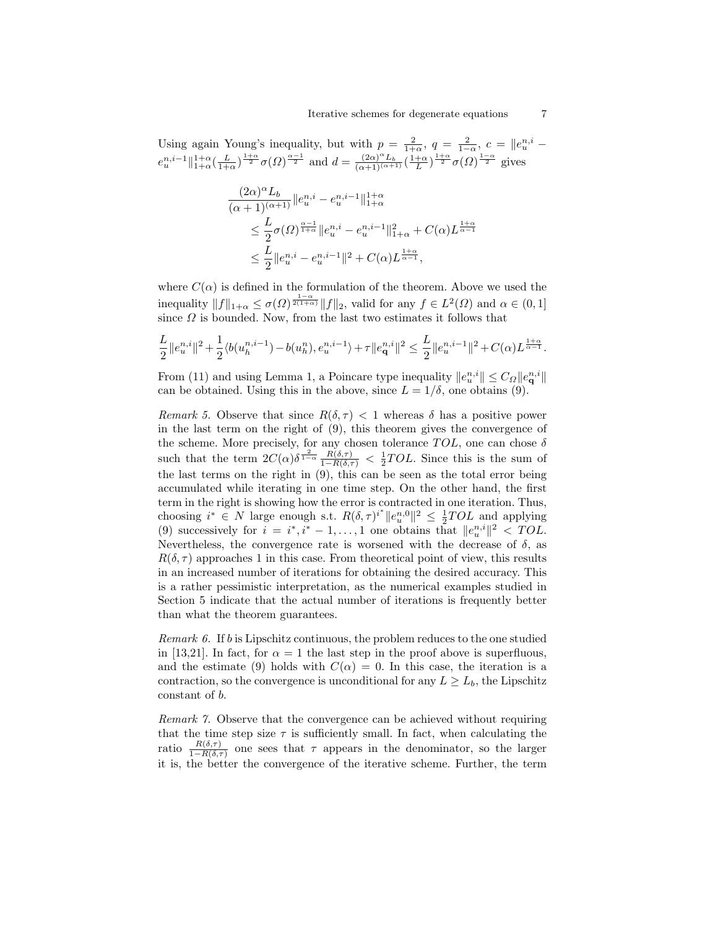Using again Young's inequality, but with  $p = \frac{2}{1+\alpha}$ ,  $q = \frac{2}{1-\alpha}$ ,  $c = ||e_{u}^{n,i}$  $e_u^{n,i-1} \|_{1+\alpha}^{1+\alpha}(\frac{L}{1+\alpha})^{\frac{1+\alpha}{2}} \sigma(\Omega)^{\frac{\alpha-1}{2}}$  and  $d = \frac{(2\alpha)^{\alpha}L_b}{(\alpha+1)^{(\alpha+1)}}(\frac{1+\alpha}{L})^{\frac{1+\alpha}{2}} \sigma(\Omega)^{\frac{1-\alpha}{2}}$  gives

$$
\frac{(2\alpha)^{\alpha}L_b}{(\alpha+1)^{(\alpha+1)}}\|e_u^{n,i} - e_u^{n,i-1}\|_{1+\alpha}^{1+\alpha}
$$
  
\n
$$
\leq \frac{L}{2}\sigma(\Omega)^{\frac{\alpha-1}{1+\alpha}}\|e_u^{n,i} - e_u^{n,i-1}\|_{1+\alpha}^2 + C(\alpha)L^{\frac{1+\alpha}{\alpha-1}}
$$
  
\n
$$
\leq \frac{L}{2}\|e_u^{n,i} - e_u^{n,i-1}\|^2 + C(\alpha)L^{\frac{1+\alpha}{\alpha-1}},
$$

where  $C(\alpha)$  is defined in the formulation of the theorem. Above we used the inequality  $||f||_{1+\alpha} \leq \sigma(\Omega)^{\frac{1-\alpha}{2(1+\alpha)}} ||f||_2$ , valid for any  $f \in L^2(\Omega)$  and  $\alpha \in (0,1]$ since  $\Omega$  is bounded. Now, from the last two estimates it follows that

$$
\frac{L}{2}\|e_u^{n,i}\|^2+\frac{1}{2}\langle b(u_h^{n,i-1})-b(u_h^{n}),e_u^{n,i-1}\rangle+\tau\|e_{\bf q}^{n,i}\|^2\leq \frac{L}{2}\|e_u^{n,i-1}\|^2+C(\alpha)L^{\frac{1+\alpha}{\alpha-1}}.
$$

From (11) and using Lemma 1, a Poincare type inequality  $||e_u^{n,i}|| \leq C_{\Omega} ||e_{\mathbf{q}}^{n,i}||$ can be obtained. Using this in the above, since  $L = 1/\delta$ , one obtains (9).

Remark 5. Observe that since  $R(\delta, \tau) < 1$  whereas  $\delta$  has a positive power in the last term on the right of (9), this theorem gives the convergence of the scheme. More precisely, for any chosen tolerance  $TOL$ , one can chose  $\delta$ such that the term  $2C(\alpha)\delta^{\frac{2}{1-\alpha}}\frac{R(\delta,\tau)}{1-R(\delta,\tau)} < \frac{1}{2}TOL$ . Since this is the sum of the last terms on the right in (9), this can be seen as the total error being accumulated while iterating in one time step. On the other hand, the first term in the right is showing how the error is contracted in one iteration. Thus, choosing  $i^* \in N$  large enough s.t.  $R(\delta, \tau)^{i^*} ||e_u^{n,0}||^2 \leq \frac{1}{2}TOL$  and applying (9) successively for  $i = i^*, i^* - 1, ..., 1$  one obtains that  $||e_u^{n,i}||^2 < TOL$ . Nevertheless, the convergence rate is worsened with the decrease of  $\delta$ , as  $R(\delta, \tau)$  approaches 1 in this case. From theoretical point of view, this results in an increased number of iterations for obtaining the desired accuracy. This is a rather pessimistic interpretation, as the numerical examples studied in Section 5 indicate that the actual number of iterations is frequently better than what the theorem guarantees.

Remark 6. If b is Lipschitz continuous, the problem reduces to the one studied in [13,21]. In fact, for  $\alpha = 1$  the last step in the proof above is superfluous. and the estimate (9) holds with  $C(\alpha) = 0$ . In this case, the iteration is a contraction, so the convergence is unconditional for any  $L \geq L_b$ , the Lipschitz constant of b.

Remark 7. Observe that the convergence can be achieved without requiring that the time step size  $\tau$  is sufficiently small. In fact, when calculating the ratio  $\frac{R(\delta,\tau)}{1-R(\delta,\tau)}$  one sees that  $\tau$  appears in the denominator, so the larger it is, the better the convergence of the iterative scheme. Further, the term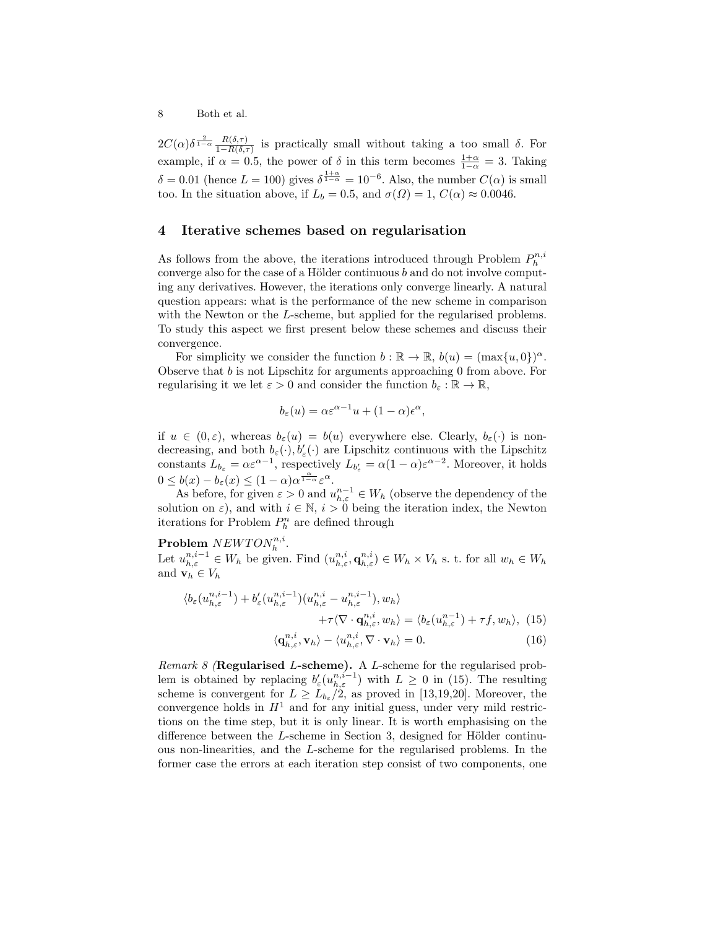$2C(\alpha)\delta^{\frac{2}{1-\alpha}}\frac{R(\delta,\tau)}{1-R(\delta,\tau)}$  is practically small without taking a too small  $\delta$ . For example, if  $\alpha = 0.5$ , the power of  $\delta$  in this term becomes  $\frac{1+\alpha}{1-\alpha} = 3$ . Taking  $\delta = 0.01$  (hence  $L = 100$ ) gives  $\delta^{\frac{1+\alpha}{1-\alpha}} = 10^{-6}$ . Also, the number  $C(\alpha)$  is small too. In the situation above, if  $L_b = 0.5$ , and  $\sigma(\Omega) = 1$ ,  $C(\alpha) \approx 0.0046$ .

## 4 Iterative schemes based on regularisation

As follows from the above, the iterations introduced through Problem  $P_h^{n,i}$ converge also for the case of a Hölder continuous  $b$  and do not involve computing any derivatives. However, the iterations only converge linearly. A natural question appears: what is the performance of the new scheme in comparison with the Newton or the L-scheme, but applied for the regularised problems. To study this aspect we first present below these schemes and discuss their convergence.

For simplicity we consider the function  $b : \mathbb{R} \to \mathbb{R}$ ,  $b(u) = (\max\{u, 0\})^{\alpha}$ . Observe that  $b$  is not Lipschitz for arguments approaching 0 from above. For regularising it we let  $\varepsilon > 0$  and consider the function  $b_{\varepsilon} : \mathbb{R} \to \mathbb{R}$ ,

$$
b_{\varepsilon}(u) = \alpha \varepsilon^{\alpha - 1} u + (1 - \alpha) \varepsilon^{\alpha},
$$

if  $u \in (0,\varepsilon)$ , whereas  $b_{\varepsilon}(u) = b(u)$  everywhere else. Clearly,  $b_{\varepsilon}(\cdot)$  is nondecreasing, and both  $b_{\varepsilon}(\cdot), b'_{\varepsilon}(\cdot)$  are Lipschitz continuous with the Lipschitz constants  $L_{b_{\varepsilon}} = \alpha \varepsilon^{\alpha-1}$ , respectively  $L_{b'_{\varepsilon}} = \alpha (1 - \alpha) \varepsilon^{\alpha-2}$ . Moreover, it holds  $0 \leq b(x) - b_{\varepsilon}(x) \leq (1 - \alpha)\alpha^{\frac{\alpha}{1 - \alpha}} \varepsilon^{\alpha}.$ 

As before, for given  $\varepsilon > 0$  and  $u_{h,\varepsilon}^{n-1} \in W_h$  (observe the dependency of the solution on  $\varepsilon$ ), and with  $i \in \mathbb{N}$ ,  $i > 0$  being the iteration index, the Newton iterations for Problem  $P_h^n$  are defined through

## Problem  $NEWTON_h^{n,i}$ .

Let  $u_{h,\varepsilon}^{n,i-1} \in W_h$  be given. Find  $(u_{h,\varepsilon}^{n,i}, \mathbf{q}_{h,\varepsilon}^{n,i}) \in W_h \times V_h$  s. t. for all  $w_h \in W_h$ and  $\mathbf{v}_h \in V_h$ 

$$
\langle b_{\varepsilon}(u_{h,\varepsilon}^{n,i-1}) + b'_{\varepsilon}(u_{h,\varepsilon}^{n,i-1})(u_{h,\varepsilon}^{n,i} - u_{h,\varepsilon}^{n,i-1}), w_h \rangle + \tau \langle \nabla \cdot \mathbf{q}_{h,\varepsilon}^{n,i}, w_h \rangle = \langle b_{\varepsilon}(u_{h,\varepsilon}^{n-1}) + \tau f, w_h \rangle, (15)
$$

$$
\langle \mathbf{q}_{h,\varepsilon}^{n,i}, \mathbf{v}_h \rangle - \langle u_{h,\varepsilon}^{n,i}, \nabla \cdot \mathbf{v}_h \rangle = 0. \tag{16}
$$

Remark 8 (**Regularised L-scheme**). A L-scheme for the regularised problem is obtained by replacing  $b'_\varepsilon(u_{h,\varepsilon}^{n,i-1})$  with  $L \geq 0$  in (15). The resulting scheme is convergent for  $L \ge L_{b_{\varepsilon}}/2$ , as proved in [13,19,20]. Moreover, the convergence holds in  $H<sup>1</sup>$  and for any initial guess, under very mild restrictions on the time step, but it is only linear. It is worth emphasising on the difference between the  $L$ -scheme in Section 3, designed for Hölder continuous non-linearities, and the L-scheme for the regularised problems. In the former case the errors at each iteration step consist of two components, one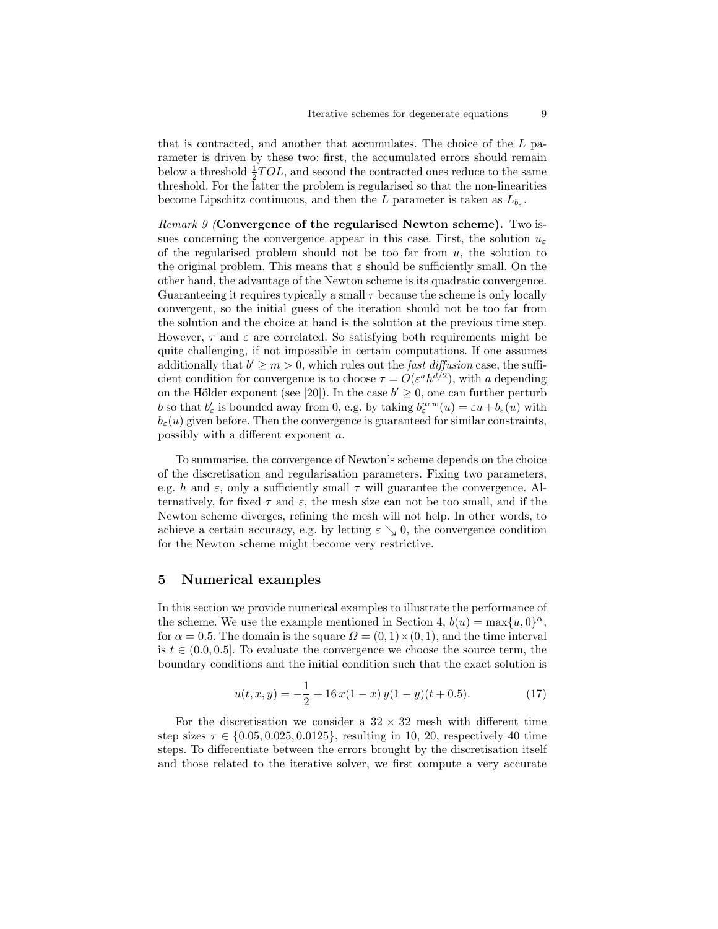that is contracted, and another that accumulates. The choice of the L parameter is driven by these two: first, the accumulated errors should remain below a threshold  $\frac{1}{2}TOL$ , and second the contracted ones reduce to the same threshold. For the latter the problem is regularised so that the non-linearities become Lipschitz continuous, and then the L parameter is taken as  $L_{b_{\varepsilon}}$ .

Remark 9 (Convergence of the regularised Newton scheme). Two issues concerning the convergence appear in this case. First, the solution  $u_{\varepsilon}$ of the regularised problem should not be too far from  $u$ , the solution to the original problem. This means that  $\varepsilon$  should be sufficiently small. On the other hand, the advantage of the Newton scheme is its quadratic convergence. Guaranteeing it requires typically a small  $\tau$  because the scheme is only locally convergent, so the initial guess of the iteration should not be too far from the solution and the choice at hand is the solution at the previous time step. However,  $\tau$  and  $\varepsilon$  are correlated. So satisfying both requirements might be quite challenging, if not impossible in certain computations. If one assumes additionally that  $b' \geq m > 0$ , which rules out the *fast diffusion* case, the sufficient condition for convergence is to choose  $\tau = O(\varepsilon^a h^{d/2})$ , with a depending on the Hölder exponent (see [20]). In the case  $b' \geq 0$ , one can further perturb b so that  $b'_\varepsilon$  is bounded away from 0, e.g. by taking  $b^{new}_\varepsilon(u) = \varepsilon u + b_\varepsilon(u)$  with  $b_{\varepsilon}(u)$  given before. Then the convergence is guaranteed for similar constraints, possibly with a different exponent a.

To summarise, the convergence of Newton's scheme depends on the choice of the discretisation and regularisation parameters. Fixing two parameters, e.g. h and  $\varepsilon$ , only a sufficiently small  $\tau$  will guarantee the convergence. Alternatively, for fixed  $\tau$  and  $\varepsilon$ , the mesh size can not be too small, and if the Newton scheme diverges, refining the mesh will not help. In other words, to achieve a certain accuracy, e.g. by letting  $\varepsilon \searrow 0$ , the convergence condition for the Newton scheme might become very restrictive.

### 5 Numerical examples

In this section we provide numerical examples to illustrate the performance of the scheme. We use the example mentioned in Section 4,  $b(u) = \max\{u, 0\}^{\alpha}$ , for  $\alpha = 0.5$ . The domain is the square  $\Omega = (0, 1) \times (0, 1)$ , and the time interval is  $t \in (0.0, 0.5]$ . To evaluate the convergence we choose the source term, the boundary conditions and the initial condition such that the exact solution is

$$
u(t, x, y) = -\frac{1}{2} + 16x(1 - x)y(1 - y)(t + 0.5).
$$
 (17)

For the discretisation we consider a  $32 \times 32$  mesh with different time step sizes  $\tau \in \{0.05, 0.025, 0.0125\}$ , resulting in 10, 20, respectively 40 time steps. To differentiate between the errors brought by the discretisation itself and those related to the iterative solver, we first compute a very accurate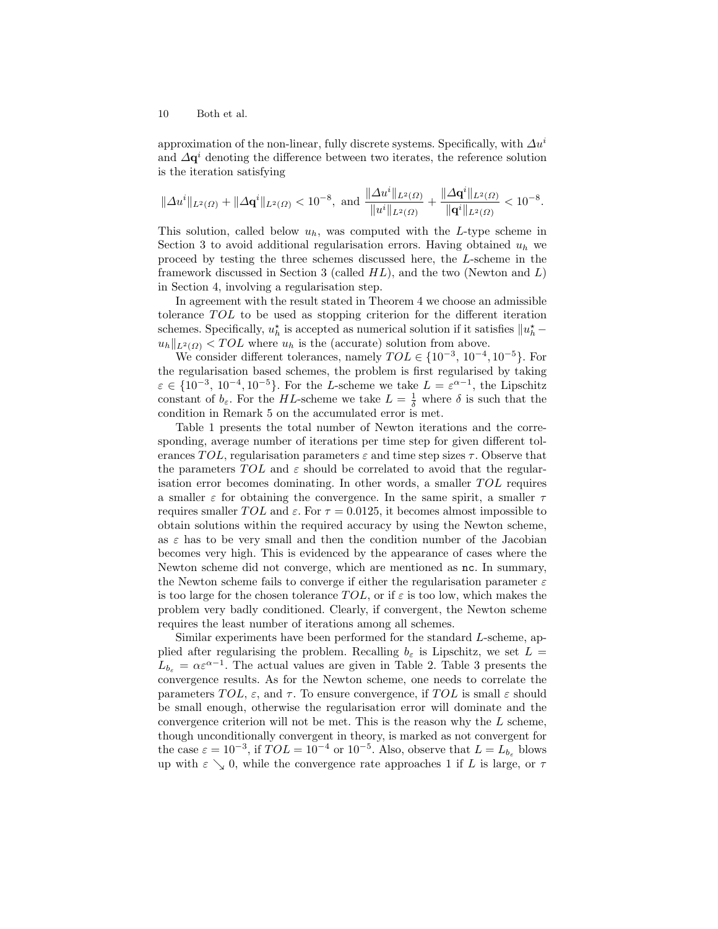approximation of the non-linear, fully discrete systems. Specifically, with  $\Delta u^i$ and  $\Delta \mathbf{q}^i$  denoting the difference between two iterates, the reference solution is the iteration satisfying

$$
\|\varDelta u^i\|_{L^2(\varOmega)}+\|\varDelta {\bf q}^i\|_{L^2(\varOmega)}<10^{-8},\,\,\text{and}\,\,\frac{\|\varDelta u^i\|_{L^2(\varOmega)}}{\|u^i\|_{L^2(\varOmega)}}+\frac{\|\varDelta {\bf q}^i\|_{L^2(\varOmega)}}{\|{\bf q}^i\|_{L^2(\varOmega)}}<10^{-8}.
$$

This solution, called below  $u_h$ , was computed with the L-type scheme in Section 3 to avoid additional regularisation errors. Having obtained  $u_h$  we proceed by testing the three schemes discussed here, the L-scheme in the framework discussed in Section 3 (called  $HL$ ), and the two (Newton and  $L$ ) in Section 4, involving a regularisation step.

In agreement with the result stated in Theorem 4 we choose an admissible tolerance  $TOL$  to be used as stopping criterion for the different iteration schemes. Specifically,  $u_h^{\star}$  is accepted as numerical solution if it satisfies  $\|u_h^{\star}$  $u_h||_{L^2(\Omega)} < TOL$  where  $u_h$  is the (accurate) solution from above.

We consider different tolerances, namely  $TOL \in \{10^{-3}, 10^{-4}, 10^{-5}\}\.$  For the regularisation based schemes, the problem is first regularised by taking  $\varepsilon \in \{10^{-3}, 10^{-4}, 10^{-5}\}.$  For the L-scheme we take  $L = \varepsilon^{\alpha-1}$ , the Lipschitz constant of  $b_{\varepsilon}$ . For the HL-scheme we take  $L = \frac{1}{\delta}$  where  $\delta$  is such that the condition in Remark 5 on the accumulated error is met.

Table 1 presents the total number of Newton iterations and the corresponding, average number of iterations per time step for given different tolerances TOL, regularisation parameters  $\varepsilon$  and time step sizes  $\tau$ . Observe that the parameters  $TOL$  and  $\varepsilon$  should be correlated to avoid that the regularisation error becomes dominating. In other words, a smaller  $TOL$  requires a smaller  $\varepsilon$  for obtaining the convergence. In the same spirit, a smaller  $\tau$ requires smaller TOL and  $\varepsilon$ . For  $\tau = 0.0125$ , it becomes almost impossible to obtain solutions within the required accuracy by using the Newton scheme, as  $\varepsilon$  has to be very small and then the condition number of the Jacobian becomes very high. This is evidenced by the appearance of cases where the Newton scheme did not converge, which are mentioned as nc. In summary, the Newton scheme fails to converge if either the regularisation parameter  $\varepsilon$ is too large for the chosen tolerance  $TOL$ , or if  $\varepsilon$  is too low, which makes the problem very badly conditioned. Clearly, if convergent, the Newton scheme requires the least number of iterations among all schemes.

Similar experiments have been performed for the standard L-scheme, applied after regularising the problem. Recalling  $b_{\varepsilon}$  is Lipschitz, we set  $L =$  $L_{b_{\varepsilon}} = \alpha \varepsilon^{\alpha-1}$ . The actual values are given in Table 2. Table 3 presents the convergence results. As for the Newton scheme, one needs to correlate the parameters  $TOL$ ,  $\varepsilon$ , and  $\tau$ . To ensure convergence, if  $TOL$  is small  $\varepsilon$  should be small enough, otherwise the regularisation error will dominate and the convergence criterion will not be met. This is the reason why the L scheme, though unconditionally convergent in theory, is marked as not convergent for the case  $\varepsilon = 10^{-3}$ , if  $TOL = 10^{-4}$  or  $10^{-5}$ . Also, observe that  $L = L_{b_{\varepsilon}}$  blows up with  $\varepsilon \searrow 0$ , while the convergence rate approaches 1 if L is large, or  $\tau$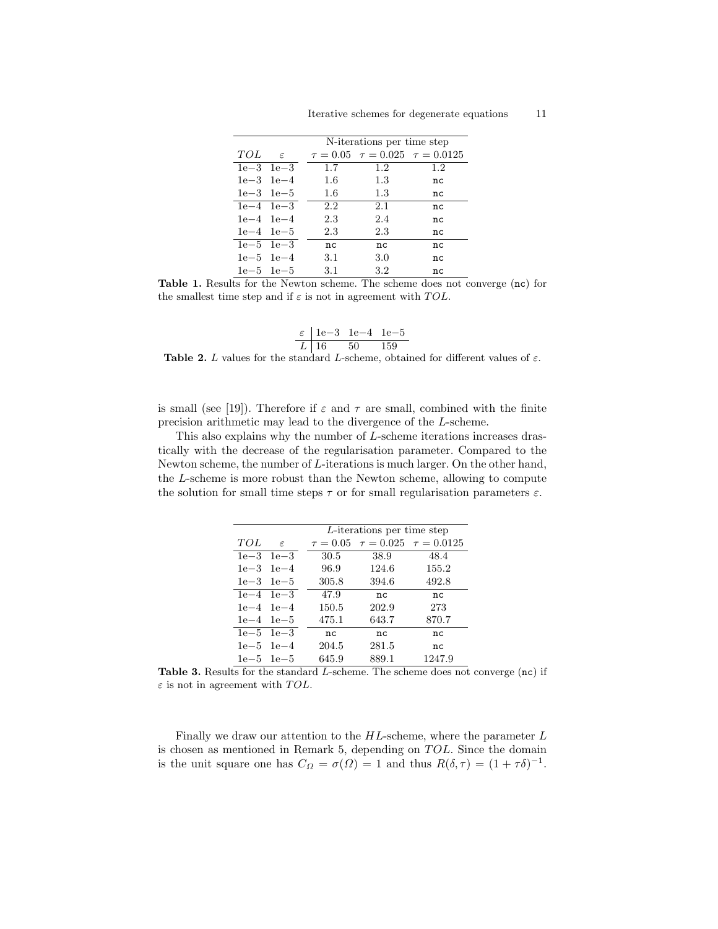|               |               | N-iterations per time step |     |                                              |
|---------------|---------------|----------------------------|-----|----------------------------------------------|
| TOL           | $\varepsilon$ |                            |     | $\tau = 0.05$ $\tau = 0.025$ $\tau = 0.0125$ |
|               | $1e-3$ $1e-3$ | 1.7                        | 1.2 | 1.2                                          |
|               | $1e-3$ $1e-4$ | $1.6\,$                    | 1.3 | nc                                           |
|               | $1e-3$ $1e-5$ | $1.6\,$                    | 1.3 | nc                                           |
|               | $1e-4$ $1e-3$ | 2.2                        | 2.1 | nc                                           |
|               | $1e-4$ $1e-4$ | 2.3                        | 2.4 | nc                                           |
|               | $1e-4$ $1e-5$ | 2.3                        | 2.3 | nc                                           |
|               | $1e-5$ $1e-3$ | nc                         | nc  | nc                                           |
|               | $1e-5$ $1e-4$ | 3.1                        | 3.0 | nc                                           |
| $1e-5$ $1e-5$ |               | 3.1                        | 3.2 | nc                                           |

Table 1. Results for the Newton scheme. The scheme does not converge (nc) for the smallest time step and if  $\varepsilon$  is not in agreement with TOL.

| $\epsilon$ | —З |  |
|------------|----|--|
|            |    |  |

Table 2. L values for the standard L-scheme, obtained for different values of  $\varepsilon$ .

is small (see [19]). Therefore if  $\varepsilon$  and  $\tau$  are small, combined with the finite precision arithmetic may lead to the divergence of the L-scheme.

This also explains why the number of L-scheme iterations increases drastically with the decrease of the regularisation parameter. Compared to the Newton scheme, the number of L-iterations is much larger. On the other hand, the L-scheme is more robust than the Newton scheme, allowing to compute the solution for small time steps  $\tau$  or for small regularisation parameters  $\varepsilon$ .

|      |               | L-iterations per time step |       |                                              |
|------|---------------|----------------------------|-------|----------------------------------------------|
| TOL. | $\epsilon$    |                            |       | $\tau = 0.05$ $\tau = 0.025$ $\tau = 0.0125$ |
|      | $1e-3$ $1e-3$ | 30.5                       | 38.9  | 48.4                                         |
|      | $1e-3$ $1e-4$ | 96.9                       | 124.6 | 155.2                                        |
|      | $1e-3$ $1e-5$ | 305.8                      | 394.6 | 492.8                                        |
|      | $1e-4$ $1e-3$ | 47.9                       | nc    | nc                                           |
|      | $1e-4$ $1e-4$ | 150.5                      | 202.9 | 273                                          |
|      | $1e-4$ $1e-5$ | 475.1                      | 643.7 | 870.7                                        |
|      | $1e-5$ $1e-3$ | nc                         | nc    | nc                                           |
|      | $1e-5$ $1e-4$ | 204.5                      | 281.5 | nc                                           |
|      | $1e-5$ $1e-5$ | 645.9                      | 889.1 | 1247.9                                       |

Table 3. Results for the standard L-scheme. The scheme does not converge (nc) if  $\varepsilon$  is not in agreement with TOL.

Finally we draw our attention to the  $HL$ -scheme, where the parameter  $L$ is chosen as mentioned in Remark 5, depending on  $TOL$ . Since the domain is the unit square one has  $C_{\Omega} = \sigma(\Omega) = 1$  and thus  $R(\delta, \tau) = (1 + \tau \delta)^{-1}$ .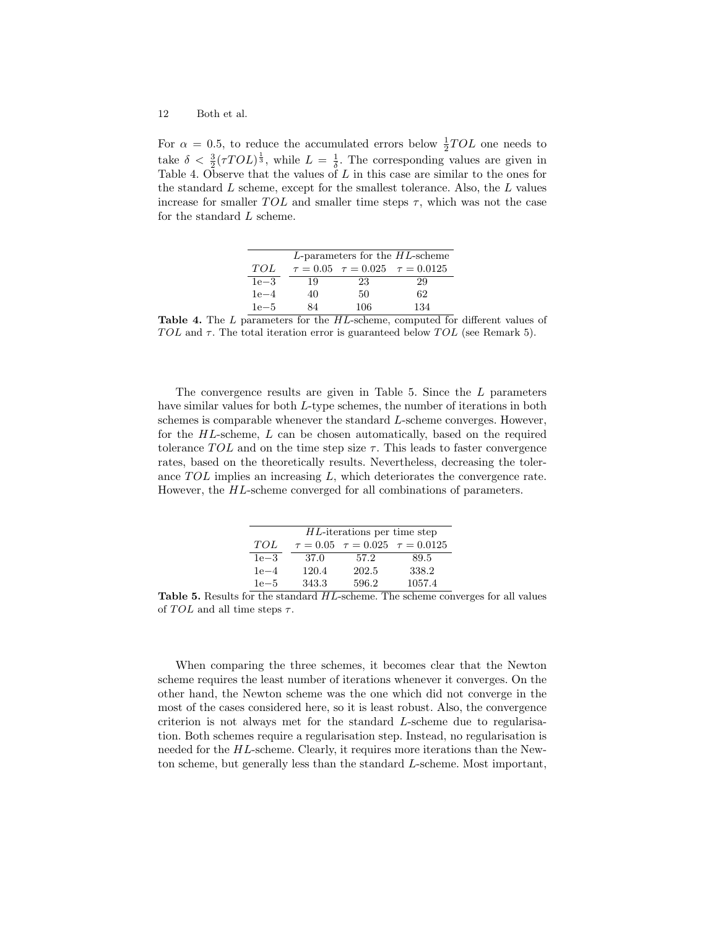For  $\alpha = 0.5$ , to reduce the accumulated errors below  $\frac{1}{2}TOL$  one needs to take  $\delta < \frac{3}{2}(\tau TOL)^{\frac{1}{3}}$ , while  $L = \frac{1}{\delta}$ . The corresponding values are given in Table 4. Observe that the values of  $L$  in this case are similar to the ones for the standard  $L$  scheme, except for the smallest tolerance. Also, the  $L$  values increase for smaller  $TOL$  and smaller time steps  $\tau$ , which was not the case for the standard L scheme.

|          | $L$ -parameters for the $HL$ -scheme |     |                                              |  |
|----------|--------------------------------------|-----|----------------------------------------------|--|
| TOL      |                                      |     | $\tau = 0.05$ $\tau = 0.025$ $\tau = 0.0125$ |  |
| $1e-3$   | 19                                   | 23  | 29                                           |  |
| $1e-4$   | 40                                   | 50  | 62                                           |  |
| $1e{-}5$ | 84                                   | 106 | 134                                          |  |

Table 4. The L parameters for the HL-scheme, computed for different values of TOL and  $\tau$ . The total iteration error is guaranteed below TOL (see Remark 5).

The convergence results are given in Table 5. Since the L parameters have similar values for both L-type schemes, the number of iterations in both schemes is comparable whenever the standard L-scheme converges. However, for the HL-scheme, L can be chosen automatically, based on the required tolerance  $TOL$  and on the time step size  $\tau$ . This leads to faster convergence rates, based on the theoretically results. Nevertheless, decreasing the tolerance  $TOL$  implies an increasing  $L$ , which deteriorates the convergence rate. However, the HL-scheme converged for all combinations of parameters.

|        | <i>HL</i> -iterations per time step |       |                                              |  |
|--------|-------------------------------------|-------|----------------------------------------------|--|
| TOL.   |                                     |       | $\tau = 0.05$ $\tau = 0.025$ $\tau = 0.0125$ |  |
| $1e-3$ | 37.0                                | 57.2  | 89.5                                         |  |
| $1e-4$ | 120.4                               | 202.5 | 338.2                                        |  |
| $1e-5$ | 343.3                               | 596.2 | 1057.4                                       |  |

Table 5. Results for the standard HL-scheme. The scheme converges for all values of  $TOL$  and all time steps  $\tau$ .

When comparing the three schemes, it becomes clear that the Newton scheme requires the least number of iterations whenever it converges. On the other hand, the Newton scheme was the one which did not converge in the most of the cases considered here, so it is least robust. Also, the convergence criterion is not always met for the standard L-scheme due to regularisation. Both schemes require a regularisation step. Instead, no regularisation is needed for the HL-scheme. Clearly, it requires more iterations than the Newton scheme, but generally less than the standard L-scheme. Most important,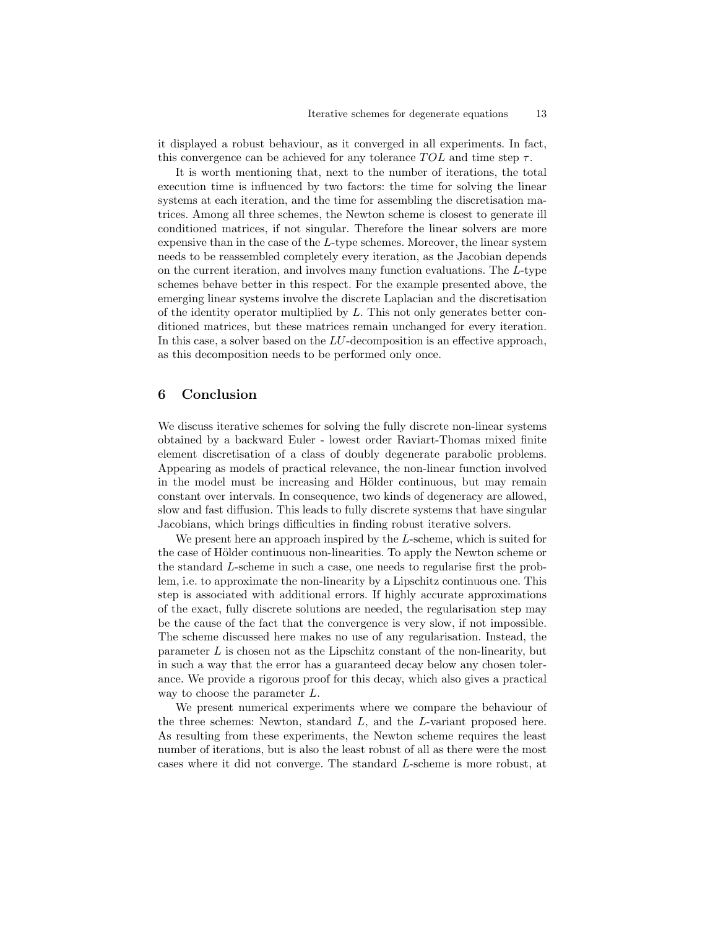it displayed a robust behaviour, as it converged in all experiments. In fact, this convergence can be achieved for any tolerance  $TOL$  and time step  $\tau$ .

It is worth mentioning that, next to the number of iterations, the total execution time is influenced by two factors: the time for solving the linear systems at each iteration, and the time for assembling the discretisation matrices. Among all three schemes, the Newton scheme is closest to generate ill conditioned matrices, if not singular. Therefore the linear solvers are more expensive than in the case of the L-type schemes. Moreover, the linear system needs to be reassembled completely every iteration, as the Jacobian depends on the current iteration, and involves many function evaluations. The L-type schemes behave better in this respect. For the example presented above, the emerging linear systems involve the discrete Laplacian and the discretisation of the identity operator multiplied by  $L$ . This not only generates better conditioned matrices, but these matrices remain unchanged for every iteration. In this case, a solver based on the LU-decomposition is an effective approach, as this decomposition needs to be performed only once.

## 6 Conclusion

We discuss iterative schemes for solving the fully discrete non-linear systems obtained by a backward Euler - lowest order Raviart-Thomas mixed finite element discretisation of a class of doubly degenerate parabolic problems. Appearing as models of practical relevance, the non-linear function involved in the model must be increasing and Hölder continuous, but may remain constant over intervals. In consequence, two kinds of degeneracy are allowed, slow and fast diffusion. This leads to fully discrete systems that have singular Jacobians, which brings difficulties in finding robust iterative solvers.

We present here an approach inspired by the L-scheme, which is suited for the case of Hölder continuous non-linearities. To apply the Newton scheme or the standard L-scheme in such a case, one needs to regularise first the problem, i.e. to approximate the non-linearity by a Lipschitz continuous one. This step is associated with additional errors. If highly accurate approximations of the exact, fully discrete solutions are needed, the regularisation step may be the cause of the fact that the convergence is very slow, if not impossible. The scheme discussed here makes no use of any regularisation. Instead, the parameter  $L$  is chosen not as the Lipschitz constant of the non-linearity, but in such a way that the error has a guaranteed decay below any chosen tolerance. We provide a rigorous proof for this decay, which also gives a practical way to choose the parameter L.

We present numerical experiments where we compare the behaviour of the three schemes: Newton, standard  $L$ , and the  $L$ -variant proposed here. As resulting from these experiments, the Newton scheme requires the least number of iterations, but is also the least robust of all as there were the most cases where it did not converge. The standard L-scheme is more robust, at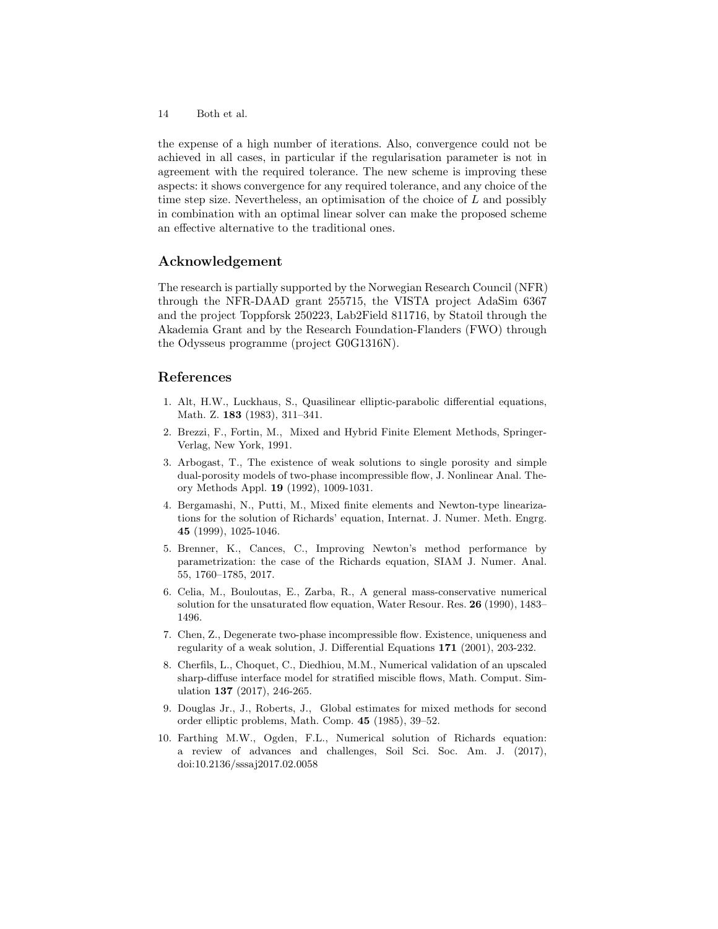the expense of a high number of iterations. Also, convergence could not be achieved in all cases, in particular if the regularisation parameter is not in agreement with the required tolerance. The new scheme is improving these aspects: it shows convergence for any required tolerance, and any choice of the time step size. Nevertheless, an optimisation of the choice of  $L$  and possibly in combination with an optimal linear solver can make the proposed scheme an effective alternative to the traditional ones.

## Acknowledgement

The research is partially supported by the Norwegian Research Council (NFR) through the NFR-DAAD grant 255715, the VISTA project AdaSim 6367 and the project Toppforsk 250223, Lab2Field 811716, by Statoil through the Akademia Grant and by the Research Foundation-Flanders (FWO) through the Odysseus programme (project G0G1316N).

## References

- 1. Alt, H.W., Luckhaus, S., Quasilinear elliptic-parabolic differential equations, Math. Z. 183 (1983), 311–341.
- 2. Brezzi, F., Fortin, M., Mixed and Hybrid Finite Element Methods, Springer-Verlag, New York, 1991.
- 3. Arbogast, T., The existence of weak solutions to single porosity and simple dual-porosity models of two-phase incompressible flow, J. Nonlinear Anal. Theory Methods Appl. 19 (1992), 1009-1031.
- 4. Bergamashi, N., Putti, M., Mixed finite elements and Newton-type linearizations for the solution of Richards' equation, Internat. J. Numer. Meth. Engrg. 45 (1999), 1025-1046.
- 5. Brenner, K., Cances, C., Improving Newton's method performance by parametrization: the case of the Richards equation, SIAM J. Numer. Anal. 55, 1760–1785, 2017.
- 6. Celia, M., Bouloutas, E., Zarba, R., A general mass-conservative numerical solution for the unsaturated flow equation, Water Resour. Res. 26 (1990), 1483– 1496.
- 7. Chen, Z., Degenerate two-phase incompressible flow. Existence, uniqueness and regularity of a weak solution, J. Differential Equations 171 (2001), 203-232.
- 8. Cherfils, L., Choquet, C., Diedhiou, M.M., Numerical validation of an upscaled sharp-diffuse interface model for stratified miscible flows, Math. Comput. Simulation 137 (2017), 246-265.
- 9. Douglas Jr., J., Roberts, J., Global estimates for mixed methods for second order elliptic problems, Math. Comp. 45 (1985), 39–52.
- 10. Farthing M.W., Ogden, F.L., Numerical solution of Richards equation: a review of advances and challenges, Soil Sci. Soc. Am. J. (2017), doi:10.2136/sssaj2017.02.0058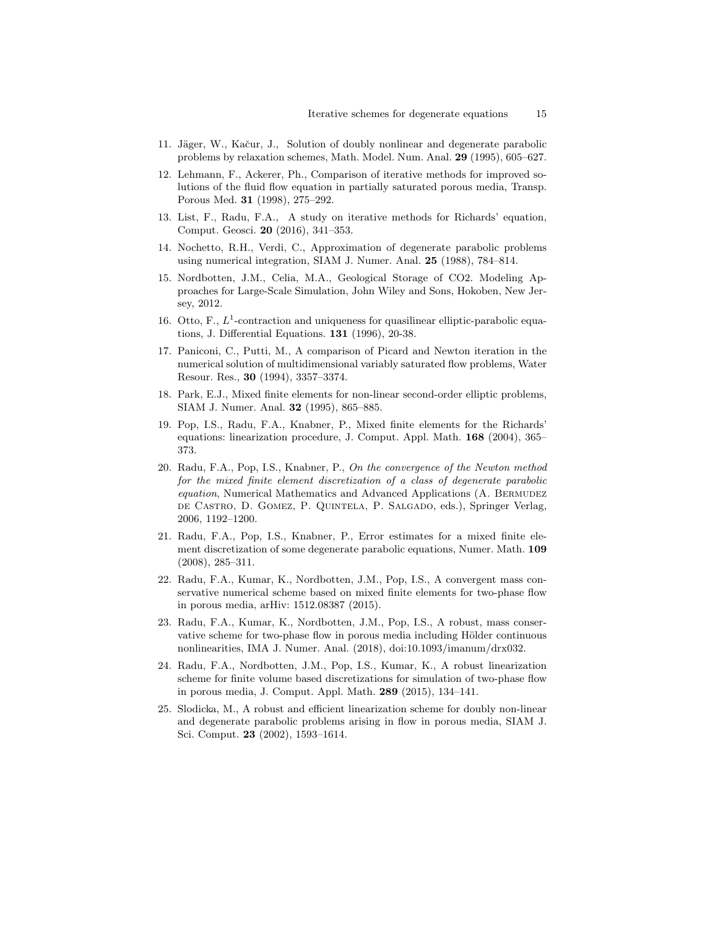- 11. Jäger, W., Kačur, J., Solution of doubly nonlinear and degenerate parabolic problems by relaxation schemes, Math. Model. Num. Anal. 29 (1995), 605–627.
- 12. Lehmann, F., Ackerer, Ph., Comparison of iterative methods for improved solutions of the fluid flow equation in partially saturated porous media, Transp. Porous Med. 31 (1998), 275–292.
- 13. List, F., Radu, F.A., A study on iterative methods for Richards' equation, Comput. Geosci. 20 (2016), 341–353.
- 14. Nochetto, R.H., Verdi, C., Approximation of degenerate parabolic problems using numerical integration, SIAM J. Numer. Anal. 25 (1988), 784–814.
- 15. Nordbotten, J.M., Celia, M.A., Geological Storage of CO2. Modeling Approaches for Large-Scale Simulation, John Wiley and Sons, Hokoben, New Jersey, 2012.
- 16. Otto, F.,  $L^1$ -contraction and uniqueness for quasilinear elliptic-parabolic equations, J. Differential Equations. 131 (1996), 20-38.
- 17. Paniconi, C., Putti, M., A comparison of Picard and Newton iteration in the numerical solution of multidimensional variably saturated flow problems, Water Resour. Res., 30 (1994), 3357–3374.
- 18. Park, E.J., Mixed finite elements for non-linear second-order elliptic problems, SIAM J. Numer. Anal. 32 (1995), 865–885.
- 19. Pop, I.S., Radu, F.A., Knabner, P., Mixed finite elements for the Richards' equations: linearization procedure, J. Comput. Appl. Math. 168 (2004), 365– 373.
- 20. Radu, F.A., Pop, I.S., Knabner, P., On the convergence of the Newton method for the mixed finite element discretization of a class of degenerate parabolic equation, Numerical Mathematics and Advanced Applications (A. BERMUDEZ de Castro, D. Gomez, P. Quintela, P. Salgado, eds.), Springer Verlag, 2006, 1192–1200.
- 21. Radu, F.A., Pop, I.S., Knabner, P., Error estimates for a mixed finite element discretization of some degenerate parabolic equations, Numer. Math. 109 (2008), 285–311.
- 22. Radu, F.A., Kumar, K., Nordbotten, J.M., Pop, I.S., A convergent mass conservative numerical scheme based on mixed finite elements for two-phase flow in porous media, arHiv: 1512.08387 (2015).
- 23. Radu, F.A., Kumar, K., Nordbotten, J.M., Pop, I.S., A robust, mass conservative scheme for two-phase flow in porous media including Hölder continuous nonlinearities, IMA J. Numer. Anal. (2018), doi:10.1093/imanum/drx032.
- 24. Radu, F.A., Nordbotten, J.M., Pop, I.S., Kumar, K., A robust linearization scheme for finite volume based discretizations for simulation of two-phase flow in porous media, J. Comput. Appl. Math. 289 (2015), 134–141.
- 25. Slodicka, M., A robust and efficient linearization scheme for doubly non-linear and degenerate parabolic problems arising in flow in porous media, SIAM J. Sci. Comput. 23 (2002), 1593–1614.